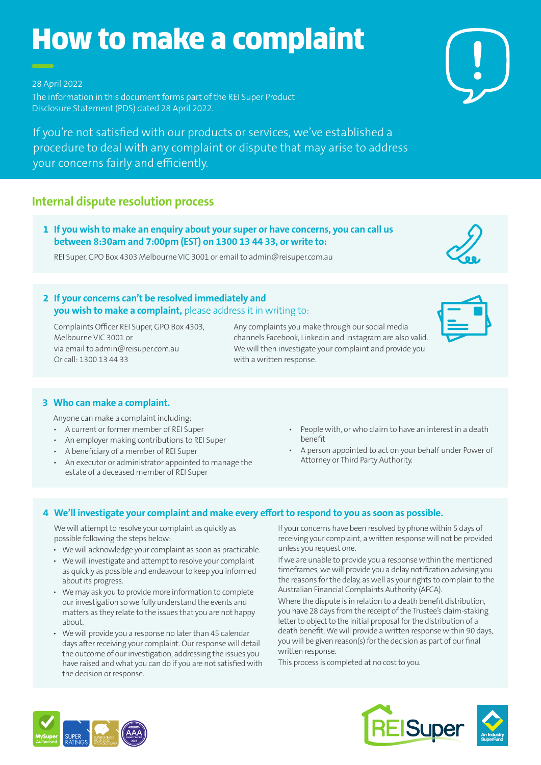# How to make a complaint

28 April 2022

The information in this document forms part of the REI Super Product Disclosure Statement (PDS) dated 28 April 2022.

If you're not satisfied with our products or services, we've established a procedure to deal with any complaint or dispute that may arise to address your concerns fairly and efficiently.

# **Internal dispute resolution process**

**1 If you wish to make an enquiry about your super or have concerns, you can call us between 8:30am and 7:00pm (EST) on 1300 13 44 33, or write to:**

REI Super, GPO Box 4303 Melbourne VIC 3001 or email to admin@reisuper.com.au

## **2 If your concerns can't be resolved immediately and you wish to make a complaint,** please address it in writing to:

 Complaints Officer REI Super, GPO Box 4303, Melbourne VIC 3001 or via email to admin@reisuper.com.au Or call: 1300 13 44 33

Any complaints you make through our social media channels Facebook, Linkedin and Instagram are also valid. We will then investigate your complaint and provide you with a written response.

## **3 Who can make a complaint.**

Anyone can make a complaint including:

- A current or former member of REI Super
- An employer making contributions to REI Super
- A beneficiary of a member of REI Super
- An executor or administrator appointed to manage the estate of a deceased member of REI Super
- People with, or who claim to have an interest in a death benefit
- A person appointed to act on your behalf under Power of Attorney or Third Party Authority.

## **4 We'll investigate your complaint and make every effort to respond to you as soon as possible.**

We will attempt to resolve your complaint as quickly as possible following the steps below:

- We will acknowledge your complaint as soon as practicable.
- We will investigate and attempt to resolve your complaint as quickly as possible and endeavour to keep you informed about its progress.
- We may ask you to provide more information to complete our investigation so we fully understand the events and matters as they relate to the issues that you are not happy about.
- We will provide you a response no later than 45 calendar days after receiving your complaint. Our response will detail the outcome of our investigation, addressing the issues you have raised and what you can do if you are not satisfied with the decision or response.

If your concerns have been resolved by phone within 5 days of receiving your complaint, a written response will not be provided unless you request one.

If we are unable to provide you a response within the mentioned timeframes, we will provide you a delay notification advising you the reasons for the delay, as well as your rights to complain to the Australian Financial Complaints Authority (AFCA).

Where the dispute is in relation to a death benefit distribution, you have 28 days from the receipt of the Trustee's claim-staking letter to object to the initial proposal for the distribution of a death benefit. We will provide a written response within 90 days, you will be given reason(s) for the decision as part of our final written response.

This process is completed at no cost to you.